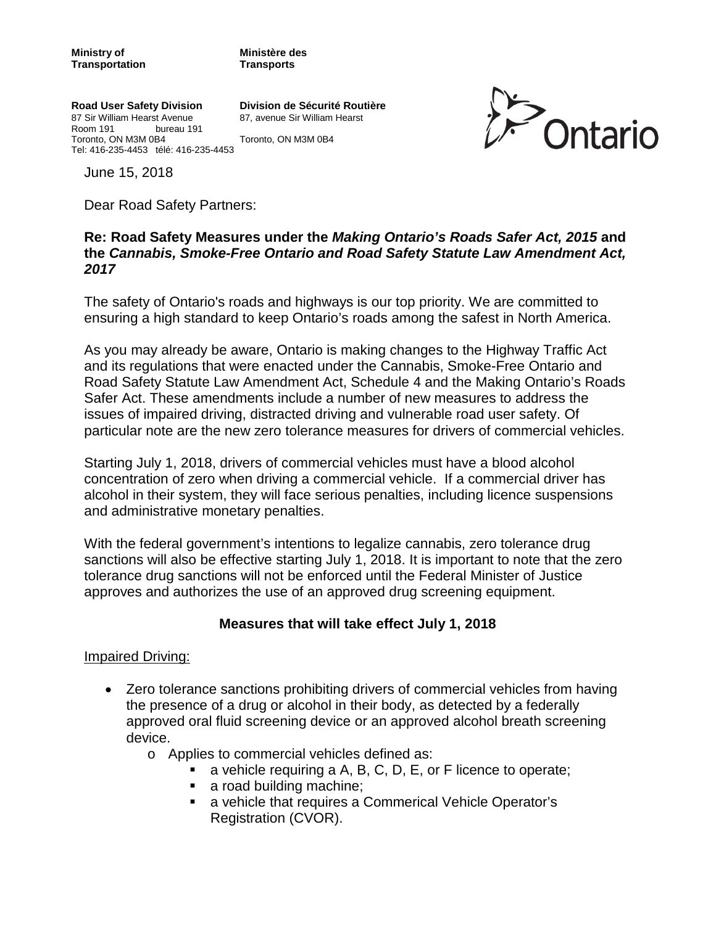**Road User Safety Division Division de Sécurité Routière** 87 Sir William Hearst Avenue Room 191 bureau 191 Toronto, ON M3M 0B4 Toronto, ON M3M 0B4 Tel: 416-235-4453 télé: 416-235-4453



June 15, 2018

Dear Road Safety Partners:

### **Re: Road Safety Measures under the** *Making Ontario's Roads Safer Act, 2015* **and the** *Cannabis, Smoke-Free Ontario and Road Safety Statute Law Amendment Act, 2017*

The safety of Ontario's roads and highways is our top priority. We are committed to ensuring a high standard to keep Ontario's roads among the safest in North America.

As you may already be aware, Ontario is making changes to the Highway Traffic Act and its regulations that were enacted under the Cannabis, Smoke-Free Ontario and Road Safety Statute Law Amendment Act, Schedule 4 and the Making Ontario's Roads Safer Act. These amendments include a number of new measures to address the issues of impaired driving, distracted driving and vulnerable road user safety. Of particular note are the new zero tolerance measures for drivers of commercial vehicles.

Starting July 1, 2018, drivers of commercial vehicles must have a blood alcohol concentration of zero when driving a commercial vehicle. If a commercial driver has alcohol in their system, they will face serious penalties, including licence suspensions and administrative monetary penalties.

With the federal government's intentions to legalize cannabis, zero tolerance drug sanctions will also be effective starting July 1, 2018. It is important to note that the zero tolerance drug sanctions will not be enforced until the Federal Minister of Justice approves and authorizes the use of an approved drug screening equipment.

### **Measures that will take effect July 1, 2018**

### Impaired Driving:

- Zero tolerance sanctions prohibiting drivers of commercial vehicles from having the presence of a drug or alcohol in their body, as detected by a federally approved oral fluid screening device or an approved alcohol breath screening device.
	- o Applies to commercial vehicles defined as:
		- a vehicle requiring a A, B, C, D, E, or F licence to operate;
		- a road building machine;
		- a vehicle that requires a Commerical Vehicle Operator's Registration (CVOR).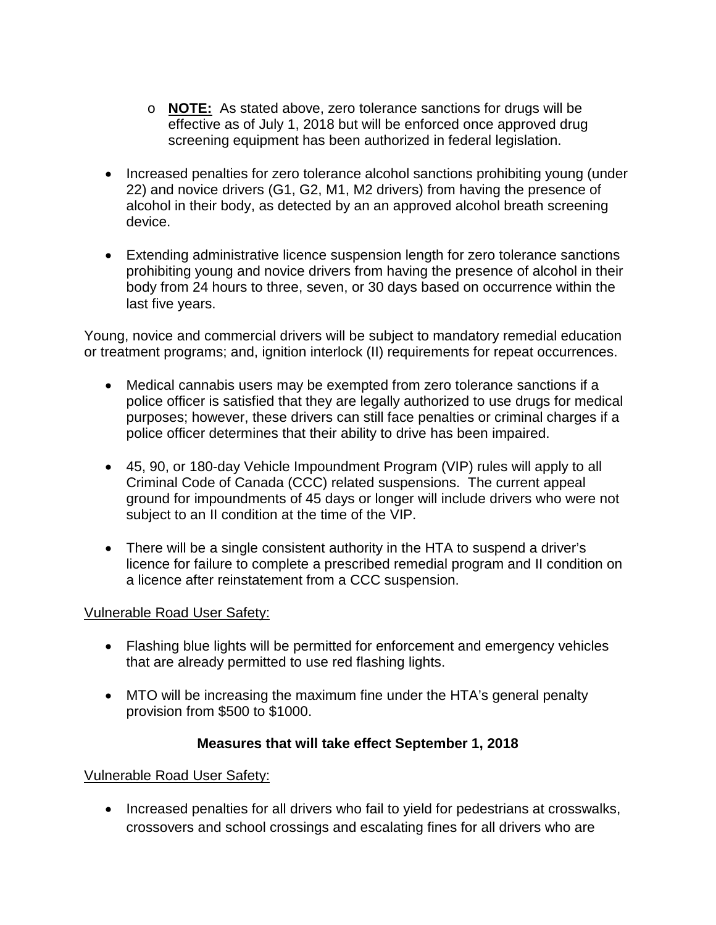- o **NOTE:** As stated above, zero tolerance sanctions for drugs will be effective as of July 1, 2018 but will be enforced once approved drug screening equipment has been authorized in federal legislation.
- Increased penalties for zero tolerance alcohol sanctions prohibiting young (under 22) and novice drivers (G1, G2, M1, M2 drivers) from having the presence of alcohol in their body, as detected by an an approved alcohol breath screening device.
- Extending administrative licence suspension length for zero tolerance sanctions prohibiting young and novice drivers from having the presence of alcohol in their body from 24 hours to three, seven, or 30 days based on occurrence within the last five years.

Young, novice and commercial drivers will be subject to mandatory remedial education or treatment programs; and, ignition interlock (II) requirements for repeat occurrences.

- Medical cannabis users may be exempted from zero tolerance sanctions if a police officer is satisfied that they are legally authorized to use drugs for medical purposes; however, these drivers can still face penalties or criminal charges if a police officer determines that their ability to drive has been impaired.
- 45, 90, or 180-day Vehicle Impoundment Program (VIP) rules will apply to all Criminal Code of Canada (CCC) related suspensions. The current appeal ground for impoundments of 45 days or longer will include drivers who were not subject to an II condition at the time of the VIP.
- There will be a single consistent authority in the HTA to suspend a driver's licence for failure to complete a prescribed remedial program and II condition on a licence after reinstatement from a CCC suspension.

# Vulnerable Road User Safety:

- Flashing blue lights will be permitted for enforcement and emergency vehicles that are already permitted to use red flashing lights.
- MTO will be increasing the maximum fine under the HTA's general penalty provision from \$500 to \$1000.

### **Measures that will take effect September 1, 2018**

# Vulnerable Road User Safety:

• Increased penalties for all drivers who fail to yield for pedestrians at crosswalks, crossovers and school crossings and escalating fines for all drivers who are